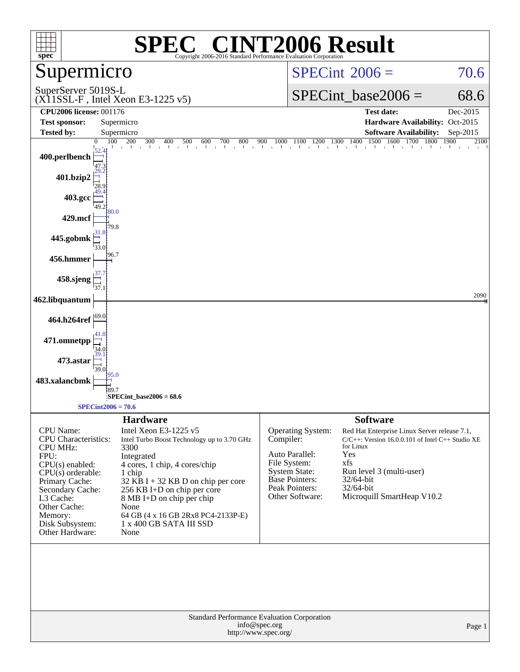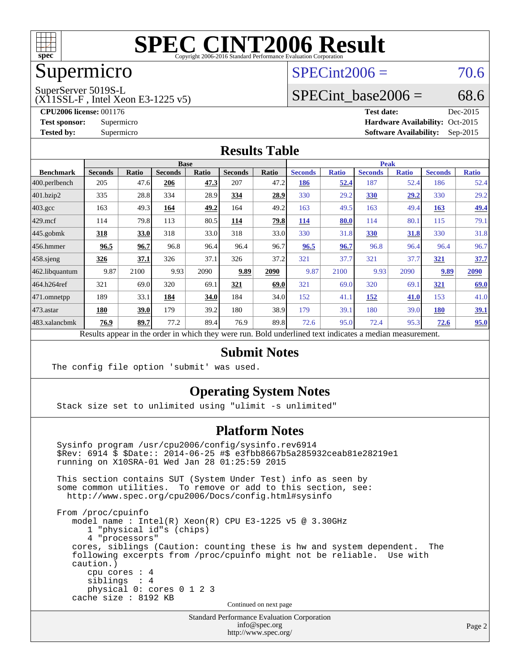

## Supermicro

#### $SPECint2006 = 70.6$  $SPECint2006 = 70.6$

SuperServer 5019S-L

(X11SSL-F , Intel Xeon E3-1225 v5)

SPECint base2006 =  $68.6$ 

**[CPU2006 license:](http://www.spec.org/auto/cpu2006/Docs/result-fields.html#CPU2006license)** 001176 **[Test date:](http://www.spec.org/auto/cpu2006/Docs/result-fields.html#Testdate)** Dec-2015 **[Test sponsor:](http://www.spec.org/auto/cpu2006/Docs/result-fields.html#Testsponsor)** Supermicro Supermicro **[Hardware Availability:](http://www.spec.org/auto/cpu2006/Docs/result-fields.html#HardwareAvailability)** Oct-2015 **[Tested by:](http://www.spec.org/auto/cpu2006/Docs/result-fields.html#Testedby)** Supermicro **Supermicro [Software Availability:](http://www.spec.org/auto/cpu2006/Docs/result-fields.html#SoftwareAvailability)** Sep-2015

#### **[Results Table](http://www.spec.org/auto/cpu2006/Docs/result-fields.html#ResultsTable)**

|                                                                                                          | <b>Base</b>    |       |                |       |                |       | <b>Peak</b>    |              |                |              |                |              |
|----------------------------------------------------------------------------------------------------------|----------------|-------|----------------|-------|----------------|-------|----------------|--------------|----------------|--------------|----------------|--------------|
| <b>Benchmark</b>                                                                                         | <b>Seconds</b> | Ratio | <b>Seconds</b> | Ratio | <b>Seconds</b> | Ratio | <b>Seconds</b> | <b>Ratio</b> | <b>Seconds</b> | <b>Ratio</b> | <b>Seconds</b> | <b>Ratio</b> |
| 400.perlbench                                                                                            | 205            | 47.6  | 206            | 47.3  | 207            | 47.2  | 186            | 52.4         | 187            | 52.4         | 186            | 52.4         |
| 401.bzip2                                                                                                | 335            | 28.8  | 334            | 28.9  | 334            | 28.9  | 330            | 29.2         | 330            | 29,2         | 330            | 29.2         |
| $403.\text{gcc}$                                                                                         | 163            | 49.3  | 164            | 49.2  | 164            | 49.2  | 163            | 49.5         | 163            | 49.4         | 163            | <u>49.4</u>  |
| $429$ mcf                                                                                                | 114            | 79.8  | 113            | 80.5  | 114            | 79.8  | 114            | 80.0         | 114            | 80.1         | 115            | 79.1         |
| $ 445.\text{gobmk} $                                                                                     | 318            | 33.0  | 318            | 33.0  | 318            | 33.0  | 330            | 31.8         | 330            | 31.8         | 330            | 31.8         |
| $456.$ hmmer                                                                                             | 96.5           | 96.7  | 96.8           | 96.4  | 96.4           | 96.7  | 96.5           | 96.7         | 96.8           | 96.4         | 96.4           | 96.7         |
| $ 458 \text{.}$ sjeng                                                                                    | <u>326</u>     | 37.1  | 326            | 37.1  | 326            | 37.2  | 321            | 37.7         | 321            | 37.7         | 321            | 37.7         |
| 462.libquantum                                                                                           | 9.87           | 2100  | 9.93           | 2090  | 9.89           | 2090  | 9.87           | 2100         | 9.93           | 2090         | 9.89           | 2090         |
| 464.h264ref                                                                                              | 321            | 69.0  | 320            | 69.1  | 321            | 69.0  | 321            | 69.0         | 320            | 69.1         | 321            | 69.0         |
| $ 471$ .omnetpp                                                                                          | 189            | 33.1  | 184            | 34.0  | 184            | 34.0  | 152            | 41.1         | 152            | 41.0         | 153            | 41.0         |
| $473$ . astar                                                                                            | 180            | 39.0  | 179            | 39.2  | 180            | 38.9  | 179            | 39.1         | 180            | 39.0         | 180            | 39.1         |
| 483.xalancbmk                                                                                            | 76.9           | 89.7  | 77.2           | 89.4  | 76.9           | 89.8  | 72.6           | 95.0         | 72.4           | 95.3         | 72.6           | 95.0         |
| Results appear in the order in which they were run. Bold underlined text indicates a median measurement. |                |       |                |       |                |       |                |              |                |              |                |              |

#### **[Submit Notes](http://www.spec.org/auto/cpu2006/Docs/result-fields.html#SubmitNotes)**

The config file option 'submit' was used.

#### **[Operating System Notes](http://www.spec.org/auto/cpu2006/Docs/result-fields.html#OperatingSystemNotes)**

Stack size set to unlimited using "ulimit -s unlimited"

#### **[Platform Notes](http://www.spec.org/auto/cpu2006/Docs/result-fields.html#PlatformNotes)**

 Sysinfo program /usr/cpu2006/config/sysinfo.rev6914 \$Rev: 6914 \$ \$Date:: 2014-06-25 #\$ e3fbb8667b5a285932ceab81e28219e1 running on X10SRA-01 Wed Jan 28 01:25:59 2015 This section contains SUT (System Under Test) info as seen by some common utilities. To remove or add to this section, see: <http://www.spec.org/cpu2006/Docs/config.html#sysinfo> From /proc/cpuinfo model name : Intel(R) Xeon(R) CPU E3-1225 v5 @ 3.30GHz 1 "physical id"s (chips) 4 "processors" cores, siblings (Caution: counting these is hw and system dependent. The following excerpts from /proc/cpuinfo might not be reliable. Use with caution.) cpu cores : 4 siblings : 4 physical 0: cores 0 1 2 3 cache size : 8192 KB Continued on next page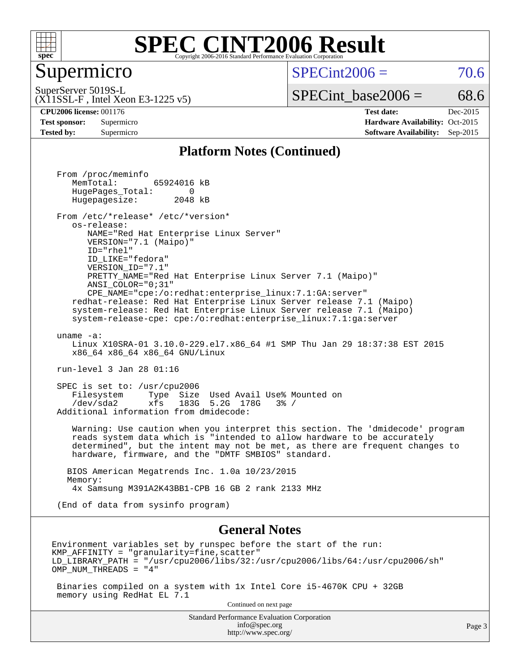

#### Supermicro

 $SPECint2006 = 70.6$  $SPECint2006 = 70.6$ 

Page 3

(X11SSL-F , Intel Xeon E3-1225 v5) SuperServer 5019S-L

 $SPECTnt\_base2006 = 68.6$ 

**[CPU2006 license:](http://www.spec.org/auto/cpu2006/Docs/result-fields.html#CPU2006license)** 001176 **[Test date:](http://www.spec.org/auto/cpu2006/Docs/result-fields.html#Testdate)** Dec-2015 **[Test sponsor:](http://www.spec.org/auto/cpu2006/Docs/result-fields.html#Testsponsor)** Supermicro Supermicro **[Hardware Availability:](http://www.spec.org/auto/cpu2006/Docs/result-fields.html#HardwareAvailability)** Oct-2015 **[Tested by:](http://www.spec.org/auto/cpu2006/Docs/result-fields.html#Testedby)** Supermicro **[Software Availability:](http://www.spec.org/auto/cpu2006/Docs/result-fields.html#SoftwareAvailability)** Sep-2015

#### **[Platform Notes \(Continued\)](http://www.spec.org/auto/cpu2006/Docs/result-fields.html#PlatformNotes)**

Standard Performance Evaluation Corporation From /proc/meminfo MemTotal: 65924016 kB HugePages\_Total: 0<br>Hugepagesize: 2048 kB Hugepagesize: From /etc/\*release\* /etc/\*version\* os-release: NAME="Red Hat Enterprise Linux Server" VERSION="7.1 (Maipo)" ID="rhel" ID\_LIKE="fedora" VERSION\_ID="7.1" PRETTY\_NAME="Red Hat Enterprise Linux Server 7.1 (Maipo)" ANSI\_COLOR="0;31" CPE\_NAME="cpe:/o:redhat:enterprise\_linux:7.1:GA:server" redhat-release: Red Hat Enterprise Linux Server release 7.1 (Maipo) system-release: Red Hat Enterprise Linux Server release 7.1 (Maipo) system-release-cpe: cpe:/o:redhat:enterprise\_linux:7.1:ga:server uname -a: Linux X10SRA-01 3.10.0-229.el7.x86\_64 #1 SMP Thu Jan 29 18:37:38 EST 2015 x86\_64 x86\_64 x86\_64 GNU/Linux run-level 3 Jan 28 01:16 SPEC is set to: /usr/cpu2006 Filesystem Type Size Used Avail Use% Mounted on /dev/sda2 xfs 183G 5.2G 178G 3% / Additional information from dmidecode: Warning: Use caution when you interpret this section. The 'dmidecode' program reads system data which is "intended to allow hardware to be accurately determined", but the intent may not be met, as there are frequent changes to hardware, firmware, and the "DMTF SMBIOS" standard. BIOS American Megatrends Inc. 1.0a 10/23/2015 Memory: 4x Samsung M391A2K43BB1-CPB 16 GB 2 rank 2133 MHz (End of data from sysinfo program) **[General Notes](http://www.spec.org/auto/cpu2006/Docs/result-fields.html#GeneralNotes)** Environment variables set by runspec before the start of the run:  $KMP$  AFFINITY = "granularity=fine, scatter" LD\_LIBRARY\_PATH = "/usr/cpu2006/libs/32:/usr/cpu2006/libs/64:/usr/cpu2006/sh" OMP\_NUM\_THREADS = "4" Binaries compiled on a system with 1x Intel Core i5-4670K CPU + 32GB memory using RedHat EL 7.1 Continued on next page

> [info@spec.org](mailto:info@spec.org) <http://www.spec.org/>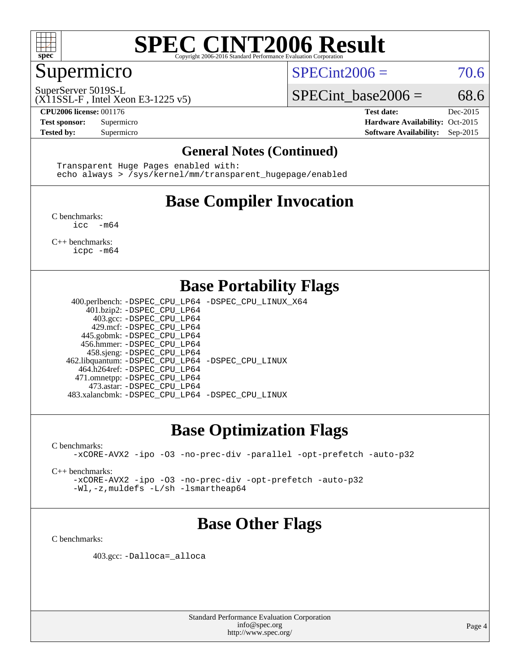

#### Supermicro

 $SPECint2006 = 70.6$  $SPECint2006 = 70.6$ 

SuperServer 5019S-L

(X11SSL-F , Intel Xeon E3-1225 v5)

**[CPU2006 license:](http://www.spec.org/auto/cpu2006/Docs/result-fields.html#CPU2006license)** 001176 **[Test date:](http://www.spec.org/auto/cpu2006/Docs/result-fields.html#Testdate)** Dec-2015

SPECint base2006 =  $68.6$ 

**[Test sponsor:](http://www.spec.org/auto/cpu2006/Docs/result-fields.html#Testsponsor)** Supermicro Supermicro **[Hardware Availability:](http://www.spec.org/auto/cpu2006/Docs/result-fields.html#HardwareAvailability)** Oct-2015 **[Tested by:](http://www.spec.org/auto/cpu2006/Docs/result-fields.html#Testedby)** Supermicro **Supermicro [Software Availability:](http://www.spec.org/auto/cpu2006/Docs/result-fields.html#SoftwareAvailability)** Sep-2015

#### **[General Notes \(Continued\)](http://www.spec.org/auto/cpu2006/Docs/result-fields.html#GeneralNotes)**

 Transparent Huge Pages enabled with: echo always > /sys/kernel/mm/transparent\_hugepage/enabled

## **[Base Compiler Invocation](http://www.spec.org/auto/cpu2006/Docs/result-fields.html#BaseCompilerInvocation)**

[C benchmarks](http://www.spec.org/auto/cpu2006/Docs/result-fields.html#Cbenchmarks): [icc -m64](http://www.spec.org/cpu2006/results/res2016q1/cpu2006-20151223-38499.flags.html#user_CCbase_intel_icc_64bit_f346026e86af2a669e726fe758c88044)

[C++ benchmarks:](http://www.spec.org/auto/cpu2006/Docs/result-fields.html#CXXbenchmarks) [icpc -m64](http://www.spec.org/cpu2006/results/res2016q1/cpu2006-20151223-38499.flags.html#user_CXXbase_intel_icpc_64bit_fc66a5337ce925472a5c54ad6a0de310)

#### **[Base Portability Flags](http://www.spec.org/auto/cpu2006/Docs/result-fields.html#BasePortabilityFlags)**

 400.perlbench: [-DSPEC\\_CPU\\_LP64](http://www.spec.org/cpu2006/results/res2016q1/cpu2006-20151223-38499.flags.html#b400.perlbench_basePORTABILITY_DSPEC_CPU_LP64) [-DSPEC\\_CPU\\_LINUX\\_X64](http://www.spec.org/cpu2006/results/res2016q1/cpu2006-20151223-38499.flags.html#b400.perlbench_baseCPORTABILITY_DSPEC_CPU_LINUX_X64) 401.bzip2: [-DSPEC\\_CPU\\_LP64](http://www.spec.org/cpu2006/results/res2016q1/cpu2006-20151223-38499.flags.html#suite_basePORTABILITY401_bzip2_DSPEC_CPU_LP64) 403.gcc: [-DSPEC\\_CPU\\_LP64](http://www.spec.org/cpu2006/results/res2016q1/cpu2006-20151223-38499.flags.html#suite_basePORTABILITY403_gcc_DSPEC_CPU_LP64) 429.mcf: [-DSPEC\\_CPU\\_LP64](http://www.spec.org/cpu2006/results/res2016q1/cpu2006-20151223-38499.flags.html#suite_basePORTABILITY429_mcf_DSPEC_CPU_LP64) 445.gobmk: [-DSPEC\\_CPU\\_LP64](http://www.spec.org/cpu2006/results/res2016q1/cpu2006-20151223-38499.flags.html#suite_basePORTABILITY445_gobmk_DSPEC_CPU_LP64) 456.hmmer: [-DSPEC\\_CPU\\_LP64](http://www.spec.org/cpu2006/results/res2016q1/cpu2006-20151223-38499.flags.html#suite_basePORTABILITY456_hmmer_DSPEC_CPU_LP64) 458.sjeng: [-DSPEC\\_CPU\\_LP64](http://www.spec.org/cpu2006/results/res2016q1/cpu2006-20151223-38499.flags.html#suite_basePORTABILITY458_sjeng_DSPEC_CPU_LP64) 462.libquantum: [-DSPEC\\_CPU\\_LP64](http://www.spec.org/cpu2006/results/res2016q1/cpu2006-20151223-38499.flags.html#suite_basePORTABILITY462_libquantum_DSPEC_CPU_LP64) [-DSPEC\\_CPU\\_LINUX](http://www.spec.org/cpu2006/results/res2016q1/cpu2006-20151223-38499.flags.html#b462.libquantum_baseCPORTABILITY_DSPEC_CPU_LINUX) 464.h264ref: [-DSPEC\\_CPU\\_LP64](http://www.spec.org/cpu2006/results/res2016q1/cpu2006-20151223-38499.flags.html#suite_basePORTABILITY464_h264ref_DSPEC_CPU_LP64) 471.omnetpp: [-DSPEC\\_CPU\\_LP64](http://www.spec.org/cpu2006/results/res2016q1/cpu2006-20151223-38499.flags.html#suite_basePORTABILITY471_omnetpp_DSPEC_CPU_LP64) 473.astar: [-DSPEC\\_CPU\\_LP64](http://www.spec.org/cpu2006/results/res2016q1/cpu2006-20151223-38499.flags.html#suite_basePORTABILITY473_astar_DSPEC_CPU_LP64) 483.xalancbmk: [-DSPEC\\_CPU\\_LP64](http://www.spec.org/cpu2006/results/res2016q1/cpu2006-20151223-38499.flags.html#suite_basePORTABILITY483_xalancbmk_DSPEC_CPU_LP64) [-DSPEC\\_CPU\\_LINUX](http://www.spec.org/cpu2006/results/res2016q1/cpu2006-20151223-38499.flags.html#b483.xalancbmk_baseCXXPORTABILITY_DSPEC_CPU_LINUX)

### **[Base Optimization Flags](http://www.spec.org/auto/cpu2006/Docs/result-fields.html#BaseOptimizationFlags)**

[C benchmarks](http://www.spec.org/auto/cpu2006/Docs/result-fields.html#Cbenchmarks):

[-xCORE-AVX2](http://www.spec.org/cpu2006/results/res2016q1/cpu2006-20151223-38499.flags.html#user_CCbase_f-xAVX2_5f5fc0cbe2c9f62c816d3e45806c70d7) [-ipo](http://www.spec.org/cpu2006/results/res2016q1/cpu2006-20151223-38499.flags.html#user_CCbase_f-ipo) [-O3](http://www.spec.org/cpu2006/results/res2016q1/cpu2006-20151223-38499.flags.html#user_CCbase_f-O3) [-no-prec-div](http://www.spec.org/cpu2006/results/res2016q1/cpu2006-20151223-38499.flags.html#user_CCbase_f-no-prec-div) [-parallel](http://www.spec.org/cpu2006/results/res2016q1/cpu2006-20151223-38499.flags.html#user_CCbase_f-parallel) [-opt-prefetch](http://www.spec.org/cpu2006/results/res2016q1/cpu2006-20151223-38499.flags.html#user_CCbase_f-opt-prefetch) [-auto-p32](http://www.spec.org/cpu2006/results/res2016q1/cpu2006-20151223-38499.flags.html#user_CCbase_f-auto-p32)

[C++ benchmarks:](http://www.spec.org/auto/cpu2006/Docs/result-fields.html#CXXbenchmarks)

[-xCORE-AVX2](http://www.spec.org/cpu2006/results/res2016q1/cpu2006-20151223-38499.flags.html#user_CXXbase_f-xAVX2_5f5fc0cbe2c9f62c816d3e45806c70d7) [-ipo](http://www.spec.org/cpu2006/results/res2016q1/cpu2006-20151223-38499.flags.html#user_CXXbase_f-ipo) [-O3](http://www.spec.org/cpu2006/results/res2016q1/cpu2006-20151223-38499.flags.html#user_CXXbase_f-O3) [-no-prec-div](http://www.spec.org/cpu2006/results/res2016q1/cpu2006-20151223-38499.flags.html#user_CXXbase_f-no-prec-div) [-opt-prefetch](http://www.spec.org/cpu2006/results/res2016q1/cpu2006-20151223-38499.flags.html#user_CXXbase_f-opt-prefetch) [-auto-p32](http://www.spec.org/cpu2006/results/res2016q1/cpu2006-20151223-38499.flags.html#user_CXXbase_f-auto-p32) [-Wl,-z,muldefs](http://www.spec.org/cpu2006/results/res2016q1/cpu2006-20151223-38499.flags.html#user_CXXbase_link_force_multiple1_74079c344b956b9658436fd1b6dd3a8a) [-L/sh -lsmartheap64](http://www.spec.org/cpu2006/results/res2016q1/cpu2006-20151223-38499.flags.html#user_CXXbase_SmartHeap64_ed4ef857ce90951921efb0d91eb88472)

### **[Base Other Flags](http://www.spec.org/auto/cpu2006/Docs/result-fields.html#BaseOtherFlags)**

[C benchmarks](http://www.spec.org/auto/cpu2006/Docs/result-fields.html#Cbenchmarks):

403.gcc: [-Dalloca=\\_alloca](http://www.spec.org/cpu2006/results/res2016q1/cpu2006-20151223-38499.flags.html#b403.gcc_baseEXTRA_CFLAGS_Dalloca_be3056838c12de2578596ca5467af7f3)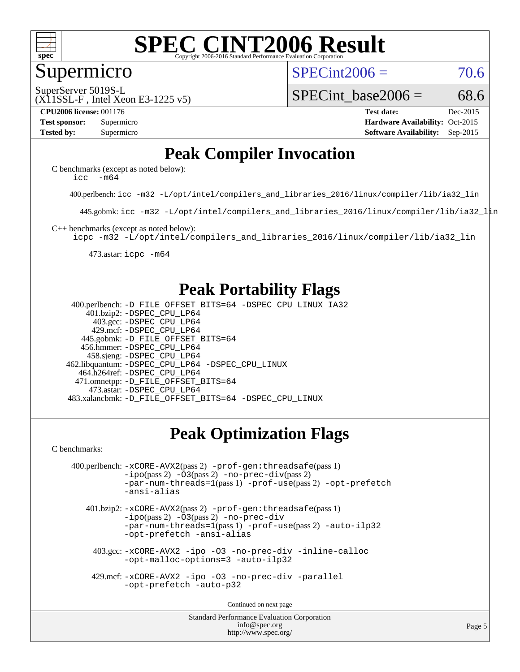

#### Supermicro

 $SPECint2006 = 70.6$  $SPECint2006 = 70.6$ 

(X11SSL-F , Intel Xeon E3-1225 v5) SuperServer 5019S-L

SPECint base2006 =  $68.6$ 

**[CPU2006 license:](http://www.spec.org/auto/cpu2006/Docs/result-fields.html#CPU2006license)** 001176 **[Test date:](http://www.spec.org/auto/cpu2006/Docs/result-fields.html#Testdate)** Dec-2015 **[Test sponsor:](http://www.spec.org/auto/cpu2006/Docs/result-fields.html#Testsponsor)** Supermicro Supermicro **[Hardware Availability:](http://www.spec.org/auto/cpu2006/Docs/result-fields.html#HardwareAvailability)** Oct-2015 **[Tested by:](http://www.spec.org/auto/cpu2006/Docs/result-fields.html#Testedby)** Supermicro **Supermicro [Software Availability:](http://www.spec.org/auto/cpu2006/Docs/result-fields.html#SoftwareAvailability)** Sep-2015

### **[Peak Compiler Invocation](http://www.spec.org/auto/cpu2006/Docs/result-fields.html#PeakCompilerInvocation)**

[C benchmarks \(except as noted below\)](http://www.spec.org/auto/cpu2006/Docs/result-fields.html#Cbenchmarksexceptasnotedbelow): [icc -m64](http://www.spec.org/cpu2006/results/res2016q1/cpu2006-20151223-38499.flags.html#user_CCpeak_intel_icc_64bit_f346026e86af2a669e726fe758c88044)

400.perlbench: [icc -m32 -L/opt/intel/compilers\\_and\\_libraries\\_2016/linux/compiler/lib/ia32\\_lin](http://www.spec.org/cpu2006/results/res2016q1/cpu2006-20151223-38499.flags.html#user_peakCCLD400_perlbench_intel_icc_e10256ba5924b668798078a321b0cb3f)

445.gobmk: [icc -m32 -L/opt/intel/compilers\\_and\\_libraries\\_2016/linux/compiler/lib/ia32\\_lin](http://www.spec.org/cpu2006/results/res2016q1/cpu2006-20151223-38499.flags.html#user_peakCCLD445_gobmk_intel_icc_e10256ba5924b668798078a321b0cb3f)

[C++ benchmarks \(except as noted below\):](http://www.spec.org/auto/cpu2006/Docs/result-fields.html#CXXbenchmarksexceptasnotedbelow)

[icpc -m32 -L/opt/intel/compilers\\_and\\_libraries\\_2016/linux/compiler/lib/ia32\\_lin](http://www.spec.org/cpu2006/results/res2016q1/cpu2006-20151223-38499.flags.html#user_CXXpeak_intel_icpc_b4f50a394bdb4597aa5879c16bc3f5c5)

473.astar: [icpc -m64](http://www.spec.org/cpu2006/results/res2016q1/cpu2006-20151223-38499.flags.html#user_peakCXXLD473_astar_intel_icpc_64bit_fc66a5337ce925472a5c54ad6a0de310)

#### **[Peak Portability Flags](http://www.spec.org/auto/cpu2006/Docs/result-fields.html#PeakPortabilityFlags)**

 400.perlbench: [-D\\_FILE\\_OFFSET\\_BITS=64](http://www.spec.org/cpu2006/results/res2016q1/cpu2006-20151223-38499.flags.html#user_peakPORTABILITY400_perlbench_file_offset_bits_64_438cf9856305ebd76870a2c6dc2689ab) [-DSPEC\\_CPU\\_LINUX\\_IA32](http://www.spec.org/cpu2006/results/res2016q1/cpu2006-20151223-38499.flags.html#b400.perlbench_peakCPORTABILITY_DSPEC_CPU_LINUX_IA32) 401.bzip2: [-DSPEC\\_CPU\\_LP64](http://www.spec.org/cpu2006/results/res2016q1/cpu2006-20151223-38499.flags.html#suite_peakPORTABILITY401_bzip2_DSPEC_CPU_LP64) 403.gcc: [-DSPEC\\_CPU\\_LP64](http://www.spec.org/cpu2006/results/res2016q1/cpu2006-20151223-38499.flags.html#suite_peakPORTABILITY403_gcc_DSPEC_CPU_LP64) 429.mcf: [-DSPEC\\_CPU\\_LP64](http://www.spec.org/cpu2006/results/res2016q1/cpu2006-20151223-38499.flags.html#suite_peakPORTABILITY429_mcf_DSPEC_CPU_LP64) 445.gobmk: [-D\\_FILE\\_OFFSET\\_BITS=64](http://www.spec.org/cpu2006/results/res2016q1/cpu2006-20151223-38499.flags.html#user_peakPORTABILITY445_gobmk_file_offset_bits_64_438cf9856305ebd76870a2c6dc2689ab) 456.hmmer: [-DSPEC\\_CPU\\_LP64](http://www.spec.org/cpu2006/results/res2016q1/cpu2006-20151223-38499.flags.html#suite_peakPORTABILITY456_hmmer_DSPEC_CPU_LP64) 458.sjeng: [-DSPEC\\_CPU\\_LP64](http://www.spec.org/cpu2006/results/res2016q1/cpu2006-20151223-38499.flags.html#suite_peakPORTABILITY458_sjeng_DSPEC_CPU_LP64) 462.libquantum: [-DSPEC\\_CPU\\_LP64](http://www.spec.org/cpu2006/results/res2016q1/cpu2006-20151223-38499.flags.html#suite_peakPORTABILITY462_libquantum_DSPEC_CPU_LP64) [-DSPEC\\_CPU\\_LINUX](http://www.spec.org/cpu2006/results/res2016q1/cpu2006-20151223-38499.flags.html#b462.libquantum_peakCPORTABILITY_DSPEC_CPU_LINUX) 464.h264ref: [-DSPEC\\_CPU\\_LP64](http://www.spec.org/cpu2006/results/res2016q1/cpu2006-20151223-38499.flags.html#suite_peakPORTABILITY464_h264ref_DSPEC_CPU_LP64) 471.omnetpp: [-D\\_FILE\\_OFFSET\\_BITS=64](http://www.spec.org/cpu2006/results/res2016q1/cpu2006-20151223-38499.flags.html#user_peakPORTABILITY471_omnetpp_file_offset_bits_64_438cf9856305ebd76870a2c6dc2689ab) 473.astar: [-DSPEC\\_CPU\\_LP64](http://www.spec.org/cpu2006/results/res2016q1/cpu2006-20151223-38499.flags.html#suite_peakPORTABILITY473_astar_DSPEC_CPU_LP64) 483.xalancbmk: [-D\\_FILE\\_OFFSET\\_BITS=64](http://www.spec.org/cpu2006/results/res2016q1/cpu2006-20151223-38499.flags.html#user_peakPORTABILITY483_xalancbmk_file_offset_bits_64_438cf9856305ebd76870a2c6dc2689ab) [-DSPEC\\_CPU\\_LINUX](http://www.spec.org/cpu2006/results/res2016q1/cpu2006-20151223-38499.flags.html#b483.xalancbmk_peakCXXPORTABILITY_DSPEC_CPU_LINUX)

### **[Peak Optimization Flags](http://www.spec.org/auto/cpu2006/Docs/result-fields.html#PeakOptimizationFlags)**

[C benchmarks](http://www.spec.org/auto/cpu2006/Docs/result-fields.html#Cbenchmarks):

```
 400.perlbench: -xCORE-AVX2(pass 2) -prof-gen:threadsafe(pass 1)
-no-prec-div(pass 2)-par-num-threads=1(pass 1) -prof-use(pass 2) -opt-prefetch
-ansi-alias
```
 401.bzip2: [-xCORE-AVX2](http://www.spec.org/cpu2006/results/res2016q1/cpu2006-20151223-38499.flags.html#user_peakPASS2_CFLAGSPASS2_LDCFLAGS401_bzip2_f-xAVX2_5f5fc0cbe2c9f62c816d3e45806c70d7)(pass 2) [-prof-gen:threadsafe](http://www.spec.org/cpu2006/results/res2016q1/cpu2006-20151223-38499.flags.html#user_peakPASS1_CFLAGSPASS1_LDCFLAGS401_bzip2_prof_gen_21a26eb79f378b550acd7bec9fe4467a)(pass 1)  $-i\text{po}(pass 2) -03(pass 2) -no-prec-div$  $-i\text{po}(pass 2) -03(pass 2) -no-prec-div$ [-par-num-threads=1](http://www.spec.org/cpu2006/results/res2016q1/cpu2006-20151223-38499.flags.html#user_peakPASS1_CFLAGSPASS1_LDCFLAGS401_bzip2_par_num_threads_786a6ff141b4e9e90432e998842df6c2)(pass 1) [-prof-use](http://www.spec.org/cpu2006/results/res2016q1/cpu2006-20151223-38499.flags.html#user_peakPASS2_CFLAGSPASS2_LDCFLAGS401_bzip2_prof_use_bccf7792157ff70d64e32fe3e1250b55)(pass 2) [-auto-ilp32](http://www.spec.org/cpu2006/results/res2016q1/cpu2006-20151223-38499.flags.html#user_peakCOPTIMIZE401_bzip2_f-auto-ilp32) [-opt-prefetch](http://www.spec.org/cpu2006/results/res2016q1/cpu2006-20151223-38499.flags.html#user_peakCOPTIMIZE401_bzip2_f-opt-prefetch) [-ansi-alias](http://www.spec.org/cpu2006/results/res2016q1/cpu2006-20151223-38499.flags.html#user_peakCOPTIMIZE401_bzip2_f-ansi-alias)

 403.gcc: [-xCORE-AVX2](http://www.spec.org/cpu2006/results/res2016q1/cpu2006-20151223-38499.flags.html#user_peakCOPTIMIZE403_gcc_f-xAVX2_5f5fc0cbe2c9f62c816d3e45806c70d7) [-ipo](http://www.spec.org/cpu2006/results/res2016q1/cpu2006-20151223-38499.flags.html#user_peakCOPTIMIZE403_gcc_f-ipo) [-O3](http://www.spec.org/cpu2006/results/res2016q1/cpu2006-20151223-38499.flags.html#user_peakCOPTIMIZE403_gcc_f-O3) [-no-prec-div](http://www.spec.org/cpu2006/results/res2016q1/cpu2006-20151223-38499.flags.html#user_peakCOPTIMIZE403_gcc_f-no-prec-div) [-inline-calloc](http://www.spec.org/cpu2006/results/res2016q1/cpu2006-20151223-38499.flags.html#user_peakCOPTIMIZE403_gcc_f-inline-calloc) [-opt-malloc-options=3](http://www.spec.org/cpu2006/results/res2016q1/cpu2006-20151223-38499.flags.html#user_peakCOPTIMIZE403_gcc_f-opt-malloc-options_13ab9b803cf986b4ee62f0a5998c2238) [-auto-ilp32](http://www.spec.org/cpu2006/results/res2016q1/cpu2006-20151223-38499.flags.html#user_peakCOPTIMIZE403_gcc_f-auto-ilp32)

 429.mcf: [-xCORE-AVX2](http://www.spec.org/cpu2006/results/res2016q1/cpu2006-20151223-38499.flags.html#user_peakCOPTIMIZE429_mcf_f-xAVX2_5f5fc0cbe2c9f62c816d3e45806c70d7) [-ipo](http://www.spec.org/cpu2006/results/res2016q1/cpu2006-20151223-38499.flags.html#user_peakCOPTIMIZE429_mcf_f-ipo) [-O3](http://www.spec.org/cpu2006/results/res2016q1/cpu2006-20151223-38499.flags.html#user_peakCOPTIMIZE429_mcf_f-O3) [-no-prec-div](http://www.spec.org/cpu2006/results/res2016q1/cpu2006-20151223-38499.flags.html#user_peakCOPTIMIZE429_mcf_f-no-prec-div) [-parallel](http://www.spec.org/cpu2006/results/res2016q1/cpu2006-20151223-38499.flags.html#user_peakCOPTIMIZE429_mcf_f-parallel) [-opt-prefetch](http://www.spec.org/cpu2006/results/res2016q1/cpu2006-20151223-38499.flags.html#user_peakCOPTIMIZE429_mcf_f-opt-prefetch) [-auto-p32](http://www.spec.org/cpu2006/results/res2016q1/cpu2006-20151223-38499.flags.html#user_peakCOPTIMIZE429_mcf_f-auto-p32)

Continued on next page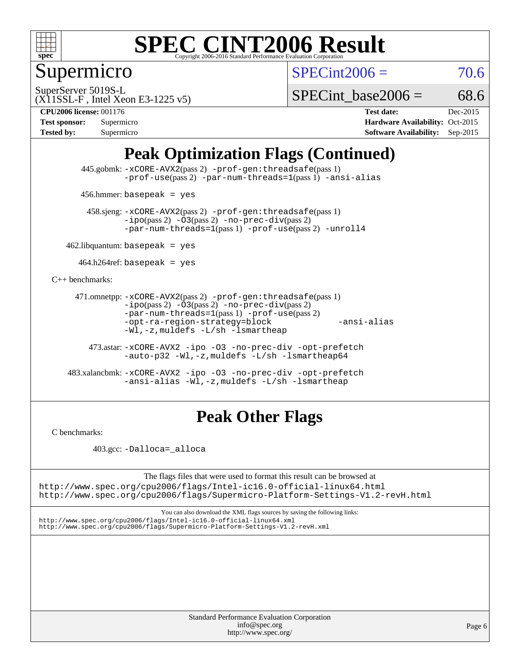

Supermicro

 $SPECint2006 = 70.6$  $SPECint2006 = 70.6$ 

(X11SSL-F , Intel Xeon E3-1225 v5) SuperServer 5019S-L

SPECint base2006 =  $68.6$ 

**[CPU2006 license:](http://www.spec.org/auto/cpu2006/Docs/result-fields.html#CPU2006license)** 001176 **[Test date:](http://www.spec.org/auto/cpu2006/Docs/result-fields.html#Testdate)** Dec-2015

| <b>Test sponsor:</b> | Supermicro |
|----------------------|------------|
| Tested by:           | Supermicro |

**[Hardware Availability:](http://www.spec.org/auto/cpu2006/Docs/result-fields.html#HardwareAvailability)** Oct-2015 **[Software Availability:](http://www.spec.org/auto/cpu2006/Docs/result-fields.html#SoftwareAvailability)** Sep-2015

## **[Peak Optimization Flags \(Continued\)](http://www.spec.org/auto/cpu2006/Docs/result-fields.html#PeakOptimizationFlags)**

 445.gobmk: [-xCORE-AVX2](http://www.spec.org/cpu2006/results/res2016q1/cpu2006-20151223-38499.flags.html#user_peakPASS2_CFLAGSPASS2_LDCFLAGS445_gobmk_f-xAVX2_5f5fc0cbe2c9f62c816d3e45806c70d7)(pass 2) [-prof-gen:threadsafe](http://www.spec.org/cpu2006/results/res2016q1/cpu2006-20151223-38499.flags.html#user_peakPASS1_CFLAGSPASS1_LDCFLAGS445_gobmk_prof_gen_21a26eb79f378b550acd7bec9fe4467a)(pass 1) [-prof-use](http://www.spec.org/cpu2006/results/res2016q1/cpu2006-20151223-38499.flags.html#user_peakPASS2_CFLAGSPASS2_LDCFLAGS445_gobmk_prof_use_bccf7792157ff70d64e32fe3e1250b55)(pass 2) [-par-num-threads=1](http://www.spec.org/cpu2006/results/res2016q1/cpu2006-20151223-38499.flags.html#user_peakPASS1_CFLAGSPASS1_LDCFLAGS445_gobmk_par_num_threads_786a6ff141b4e9e90432e998842df6c2)(pass 1) [-ansi-alias](http://www.spec.org/cpu2006/results/res2016q1/cpu2006-20151223-38499.flags.html#user_peakCOPTIMIZE445_gobmk_f-ansi-alias)

456.hmmer: basepeak = yes

 458.sjeng: [-xCORE-AVX2](http://www.spec.org/cpu2006/results/res2016q1/cpu2006-20151223-38499.flags.html#user_peakPASS2_CFLAGSPASS2_LDCFLAGS458_sjeng_f-xAVX2_5f5fc0cbe2c9f62c816d3e45806c70d7)(pass 2) [-prof-gen:threadsafe](http://www.spec.org/cpu2006/results/res2016q1/cpu2006-20151223-38499.flags.html#user_peakPASS1_CFLAGSPASS1_LDCFLAGS458_sjeng_prof_gen_21a26eb79f378b550acd7bec9fe4467a)(pass 1)  $-ipo(pass 2) -\overline{O3(pass 2)}$  $-ipo(pass 2) -\overline{O3(pass 2)}$  [-no-prec-div](http://www.spec.org/cpu2006/results/res2016q1/cpu2006-20151223-38499.flags.html#user_peakPASS2_CFLAGSPASS2_LDCFLAGS458_sjeng_f-no-prec-div)(pass 2) [-par-num-threads=1](http://www.spec.org/cpu2006/results/res2016q1/cpu2006-20151223-38499.flags.html#user_peakPASS1_CFLAGSPASS1_LDCFLAGS458_sjeng_par_num_threads_786a6ff141b4e9e90432e998842df6c2)(pass 1) [-prof-use](http://www.spec.org/cpu2006/results/res2016q1/cpu2006-20151223-38499.flags.html#user_peakPASS2_CFLAGSPASS2_LDCFLAGS458_sjeng_prof_use_bccf7792157ff70d64e32fe3e1250b55)(pass 2) [-unroll4](http://www.spec.org/cpu2006/results/res2016q1/cpu2006-20151223-38499.flags.html#user_peakCOPTIMIZE458_sjeng_f-unroll_4e5e4ed65b7fd20bdcd365bec371b81f)

 $462$ .libquantum: basepeak = yes

 $464.h264$ ref: basepeak = yes

[C++ benchmarks:](http://www.spec.org/auto/cpu2006/Docs/result-fields.html#CXXbenchmarks)

```
 471.omnetpp: -xCORE-AVX2(pass 2) -prof-gen:threadsafe(pass 1)
-i\text{po}(pass 2) -03(pass 2) -no-prec-div(pass 2)-par-num-threads=1(pass 1) -prof-use(pass 2)
-opt-ra-region-strategy=block -ansi-alias
-Wl,-z,muldefs -L/sh -lsmartheap
```
 473.astar: [-xCORE-AVX2](http://www.spec.org/cpu2006/results/res2016q1/cpu2006-20151223-38499.flags.html#user_peakCXXOPTIMIZE473_astar_f-xAVX2_5f5fc0cbe2c9f62c816d3e45806c70d7) [-ipo](http://www.spec.org/cpu2006/results/res2016q1/cpu2006-20151223-38499.flags.html#user_peakCXXOPTIMIZE473_astar_f-ipo) [-O3](http://www.spec.org/cpu2006/results/res2016q1/cpu2006-20151223-38499.flags.html#user_peakCXXOPTIMIZE473_astar_f-O3) [-no-prec-div](http://www.spec.org/cpu2006/results/res2016q1/cpu2006-20151223-38499.flags.html#user_peakCXXOPTIMIZE473_astar_f-no-prec-div) [-opt-prefetch](http://www.spec.org/cpu2006/results/res2016q1/cpu2006-20151223-38499.flags.html#user_peakCXXOPTIMIZE473_astar_f-opt-prefetch) [-auto-p32](http://www.spec.org/cpu2006/results/res2016q1/cpu2006-20151223-38499.flags.html#user_peakCXXOPTIMIZE473_astar_f-auto-p32) [-Wl,-z,muldefs](http://www.spec.org/cpu2006/results/res2016q1/cpu2006-20151223-38499.flags.html#user_peakEXTRA_LDFLAGS473_astar_link_force_multiple1_74079c344b956b9658436fd1b6dd3a8a) [-L/sh -lsmartheap64](http://www.spec.org/cpu2006/results/res2016q1/cpu2006-20151223-38499.flags.html#user_peakEXTRA_LIBS473_astar_SmartHeap64_ed4ef857ce90951921efb0d91eb88472)

 483.xalancbmk: [-xCORE-AVX2](http://www.spec.org/cpu2006/results/res2016q1/cpu2006-20151223-38499.flags.html#user_peakCXXOPTIMIZE483_xalancbmk_f-xAVX2_5f5fc0cbe2c9f62c816d3e45806c70d7) [-ipo](http://www.spec.org/cpu2006/results/res2016q1/cpu2006-20151223-38499.flags.html#user_peakCXXOPTIMIZE483_xalancbmk_f-ipo) [-O3](http://www.spec.org/cpu2006/results/res2016q1/cpu2006-20151223-38499.flags.html#user_peakCXXOPTIMIZE483_xalancbmk_f-O3) [-no-prec-div](http://www.spec.org/cpu2006/results/res2016q1/cpu2006-20151223-38499.flags.html#user_peakCXXOPTIMIZE483_xalancbmk_f-no-prec-div) [-opt-prefetch](http://www.spec.org/cpu2006/results/res2016q1/cpu2006-20151223-38499.flags.html#user_peakCXXOPTIMIZE483_xalancbmk_f-opt-prefetch) [-ansi-alias](http://www.spec.org/cpu2006/results/res2016q1/cpu2006-20151223-38499.flags.html#user_peakCXXOPTIMIZE483_xalancbmk_f-ansi-alias) [-Wl,-z,muldefs](http://www.spec.org/cpu2006/results/res2016q1/cpu2006-20151223-38499.flags.html#user_peakEXTRA_LDFLAGS483_xalancbmk_link_force_multiple1_74079c344b956b9658436fd1b6dd3a8a) [-L/sh -lsmartheap](http://www.spec.org/cpu2006/results/res2016q1/cpu2006-20151223-38499.flags.html#user_peakEXTRA_LIBS483_xalancbmk_SmartHeap_32f6c82aa1ed9c52345d30cf6e4a0499)

### **[Peak Other Flags](http://www.spec.org/auto/cpu2006/Docs/result-fields.html#PeakOtherFlags)**

[C benchmarks](http://www.spec.org/auto/cpu2006/Docs/result-fields.html#Cbenchmarks):

403.gcc: [-Dalloca=\\_alloca](http://www.spec.org/cpu2006/results/res2016q1/cpu2006-20151223-38499.flags.html#b403.gcc_peakEXTRA_CFLAGS_Dalloca_be3056838c12de2578596ca5467af7f3)

The flags files that were used to format this result can be browsed at <http://www.spec.org/cpu2006/flags/Intel-ic16.0-official-linux64.html>

<http://www.spec.org/cpu2006/flags/Supermicro-Platform-Settings-V1.2-revH.html>

You can also download the XML flags sources by saving the following links: <http://www.spec.org/cpu2006/flags/Intel-ic16.0-official-linux64.xml> <http://www.spec.org/cpu2006/flags/Supermicro-Platform-Settings-V1.2-revH.xml>